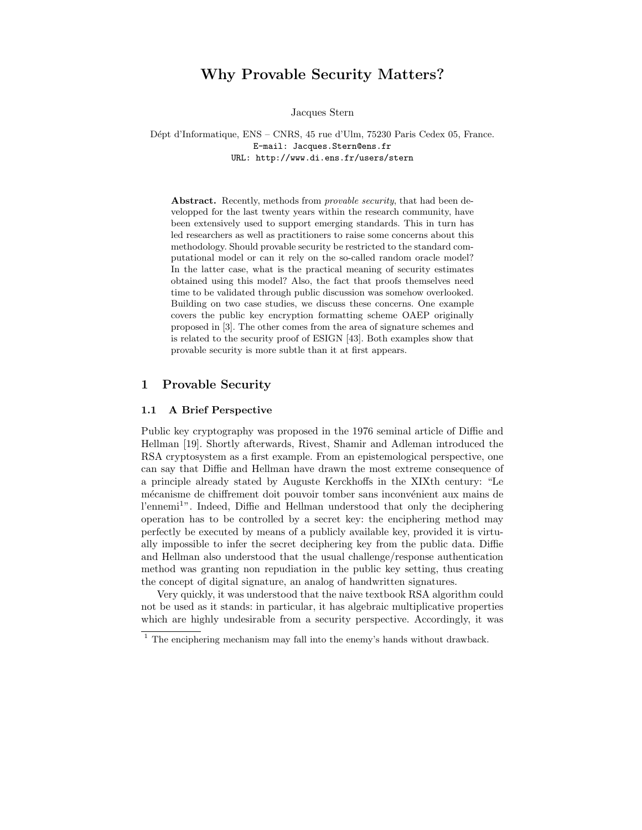# Why Provable Security Matters?

Jacques Stern

D´ept d'Informatique, ENS – CNRS, 45 rue d'Ulm, 75230 Paris Cedex 05, France. E-mail: Jacques.Stern@ens.fr URL: http://www.di.ens.fr/users/stern

Abstract. Recently, methods from *provable security*, that had been developped for the last twenty years within the research community, have been extensively used to support emerging standards. This in turn has led researchers as well as practitioners to raise some concerns about this methodology. Should provable security be restricted to the standard computational model or can it rely on the so-called random oracle model? In the latter case, what is the practical meaning of security estimates obtained using this model? Also, the fact that proofs themselves need time to be validated through public discussion was somehow overlooked. Building on two case studies, we discuss these concerns. One example covers the public key encryption formatting scheme OAEP originally proposed in [3]. The other comes from the area of signature schemes and is related to the security proof of ESIGN [43]. Both examples show that provable security is more subtle than it at first appears.

## 1 Provable Security

### 1.1 A Brief Perspective

Public key cryptography was proposed in the 1976 seminal article of Diffie and Hellman [19]. Shortly afterwards, Rivest, Shamir and Adleman introduced the RSA cryptosystem as a first example. From an epistemological perspective, one can say that Diffie and Hellman have drawn the most extreme consequence of a principle already stated by Auguste Kerckhoffs in the XIXth century: "Le mécanisme de chiffrement doit pouvoir tomber sans inconvénient aux mains de l'ennemi<sup>1</sup>". Indeed, Diffie and Hellman understood that only the deciphering operation has to be controlled by a secret key: the enciphering method may perfectly be executed by means of a publicly available key, provided it is virtually impossible to infer the secret deciphering key from the public data. Diffie and Hellman also understood that the usual challenge/response authentication method was granting non repudiation in the public key setting, thus creating the concept of digital signature, an analog of handwritten signatures.

Very quickly, it was understood that the naive textbook RSA algorithm could not be used as it stands: in particular, it has algebraic multiplicative properties which are highly undesirable from a security perspective. Accordingly, it was

 $^{\rm 1}$  The enciphering mechanism may fall into the enemy's hands without drawback.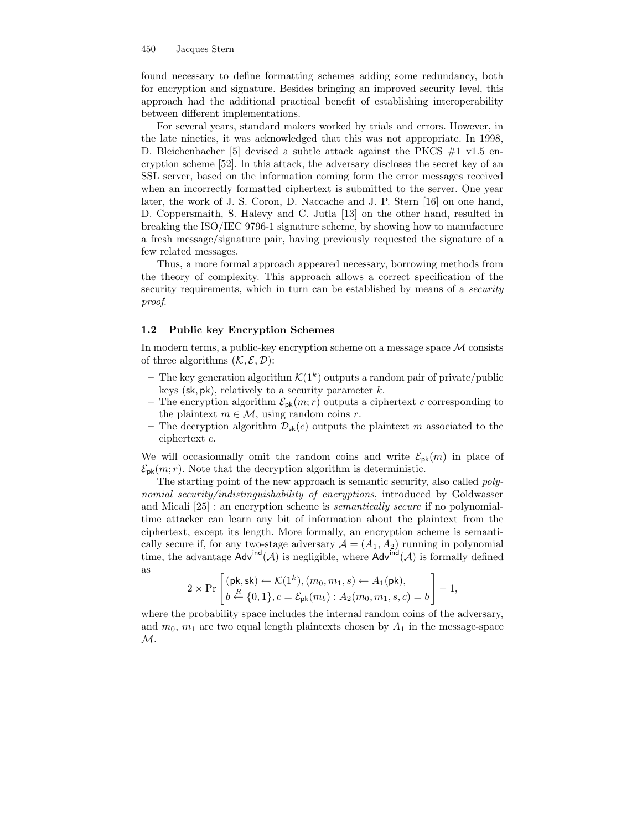found necessary to define formatting schemes adding some redundancy, both for encryption and signature. Besides bringing an improved security level, this approach had the additional practical benefit of establishing interoperability between different implementations.

For several years, standard makers worked by trials and errors. However, in the late nineties, it was acknowledged that this was not appropriate. In 1998, D. Bleichenbacher [5] devised a subtle attack against the PKCS  $\#1$  v1.5 encryption scheme [52]. In this attack, the adversary discloses the secret key of an SSL server, based on the information coming form the error messages received when an incorrectly formatted ciphertext is submitted to the server. One year later, the work of J. S. Coron, D. Naccache and J. P. Stern [16] on one hand, D. Coppersmaith, S. Halevy and C. Jutla [13] on the other hand, resulted in breaking the ISO/IEC 9796-1 signature scheme, by showing how to manufacture a fresh message/signature pair, having previously requested the signature of a few related messages.

Thus, a more formal approach appeared necessary, borrowing methods from the theory of complexity. This approach allows a correct specification of the security requirements, which in turn can be established by means of a *security* proof.

### 1.2 Public key Encryption Schemes

In modern terms, a public-key encryption scheme on a message space  $\mathcal M$  consists of three algorithms  $(K, \mathcal{E}, \mathcal{D})$ :

- The key generation algorithm  $\mathcal{K}(1^k)$  outputs a random pair of private/public keys (sk,  $pk$ ), relatively to a security parameter k.
- The encryption algorithm  $\mathcal{E}_{\mathsf{pk}}(m;r)$  outputs a ciphertext c corresponding to the plaintext  $m \in \mathcal{M}$ , using random coins r.
- The decryption algorithm  $\mathcal{D}_{sk}(c)$  outputs the plaintext m associated to the ciphertext c.

We will occasionnally omit the random coins and write  $\mathcal{E}_{\text{pk}}(m)$  in place of  $\mathcal{E}_{\text{pk}}(m;r)$ . Note that the decryption algorithm is deterministic.

The starting point of the new approach is semantic security, also called *poly*nomial security/indistinguishability of encryptions, introduced by Goldwasser and Micali [25] : an encryption scheme is semantically secure if no polynomialtime attacker can learn any bit of information about the plaintext from the ciphertext, except its length. More formally, an encryption scheme is semantically secure if, for any two-stage adversary  $\mathcal{A} = (A_1, A_2)$  running in polynomial time, the advantage  $\text{Adv}^{\text{ind}}(\mathcal{A})$  is negligible, where  $\text{Adv}^{\text{ind}}(\mathcal{A})$  is formally defined as

$$
2 \times \Pr\left[\begin{matrix} (\mathsf{pk}, \mathsf{sk}) \leftarrow \mathcal{K}(1^k), (m_0, m_1, s) \leftarrow A_1(\mathsf{pk}), \\ b \leftarrow \{0, 1\}, c = \mathcal{E}_{\mathsf{pk}}(m_b) : A_2(m_0, m_1, s, c) = b \end{matrix}\right] - 1,
$$

where the probability space includes the internal random coins of the adversary, and  $m_0$ ,  $m_1$  are two equal length plaintexts chosen by  $A_1$  in the message-space  $\mathcal{M}.$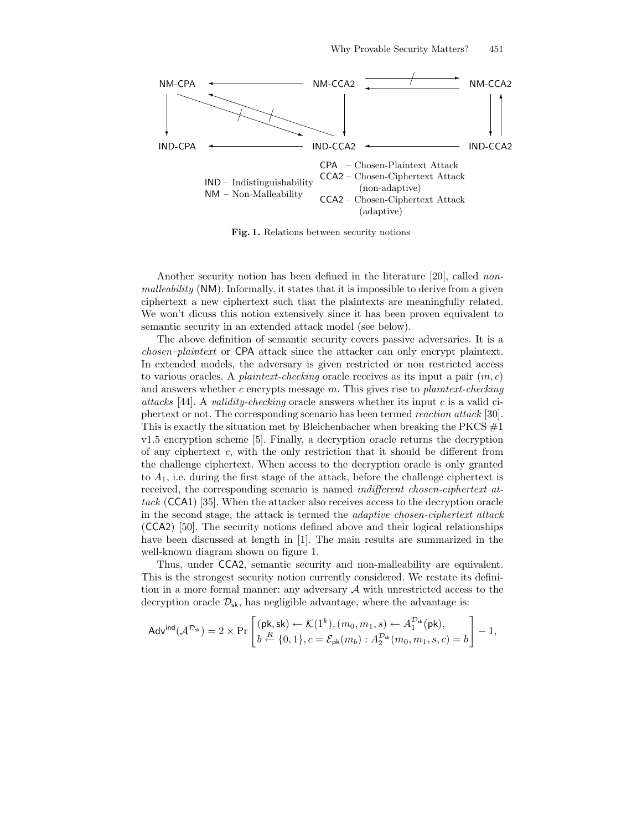

Fig. 1. Relations between security notions

Another security notion has been defined in the literature [20], called nonmalleability (NM). Informally, it states that it is impossible to derive from a given ciphertext a new ciphertext such that the plaintexts are meaningfully related. We won't dicuss this notion extensively since it has been proven equivalent to semantic security in an extended attack model (see below).

The above definition of semantic security covers passive adversaries. It is a chosen–plaintext or CPA attack since the attacker can only encrypt plaintext. In extended models, the adversary is given restricted or non restricted access to various oracles. A plaintext-checking oracle receives as its input a pair  $(m, c)$ and answers whether c encrypts message  $m$ . This gives rise to *plaintext-checking* attacks [44]. A validity-checking oracle answers whether its input c is a valid ciphertext or not. The corresponding scenario has been termed reaction attack [30]. This is exactly the situation met by Bleichenbacher when breaking the PKCS  $#1$ v1.5 encryption scheme [5]. Finally, a decryption oracle returns the decryption of any ciphertext  $c$ , with the only restriction that it should be different from the challenge ciphertext. When access to the decryption oracle is only granted to  $A_1$ , i.e. during the first stage of the attack, before the challenge ciphertext is received, the corresponding scenario is named *indifferent chosen-ciphertext* attack (CCA1) [35]. When the attacker also receives access to the decryption oracle in the second stage, the attack is termed the adaptive chosen-ciphertext attack (CCA2) [50]. The security notions defined above and their logical relationships have been discussed at length in [1]. The main results are summarized in the well-known diagram shown on figure 1.

Thus, under CCA2, semantic security and non-malleability are equivalent. This is the strongest security notion currently considered. We restate its definition in a more formal manner: any adversary  $A$  with unrestricted access to the decryption oracle  $\mathcal{D}_{sk}$ , has negligible advantage, where the advantage is:

$$
\mathsf{Adv}^{\mathsf{ind}}(\mathcal{A}^{\mathcal{D}_{\mathsf{sk}}}) = 2 \times \Pr\left[\begin{matrix} (\mathsf{pk},\mathsf{sk}) \leftarrow \mathcal{K}(1^k), (m_0,m_1,s) \leftarrow A_1^{\mathcal{D}_{\mathsf{sk}}}(\mathsf{pk}), \\ b \leftarrow \{0,1\}, c = \mathcal{E}_{\mathsf{pk}}(m_b): A_2^{\mathcal{D}_{\mathsf{sk}}}(m_0,m_1,s,c) = b \end{matrix}\right] - 1,
$$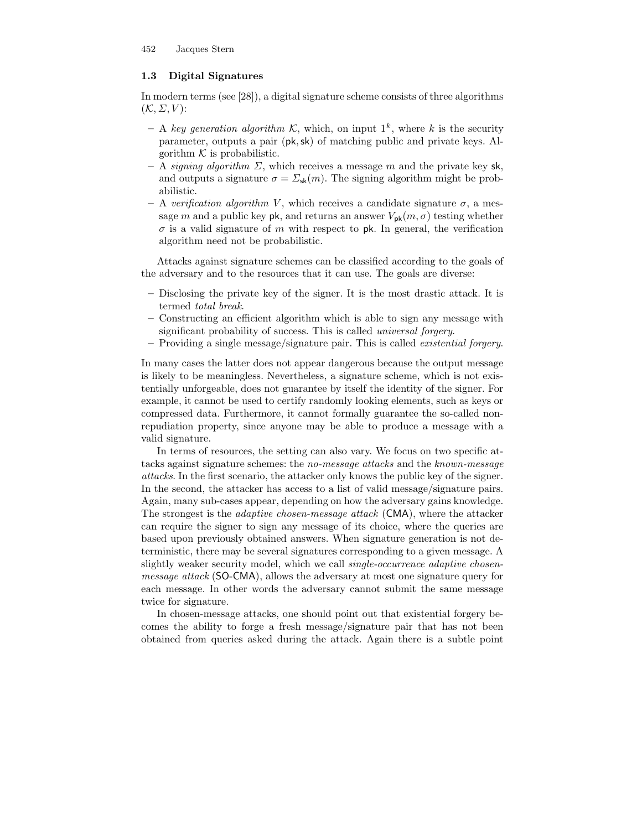## 1.3 Digital Signatures

In modern terms (see [28]), a digital signature scheme consists of three algorithms  $(\mathcal{K}, \Sigma, V)$ :

- A key generation algorithm K, which, on input  $1^k$ , where k is the security parameter, outputs a pair (pk,sk) of matching public and private keys. Algorithm  $K$  is probabilistic.
- A signing algorithm  $\Sigma$ , which receives a message m and the private key sk, and outputs a signature  $\sigma = \Sigma_{\rm sk}(m)$ . The signing algorithm might be probabilistic.
- A verification algorithm V, which receives a candidate signature  $\sigma$ , a message m and a public key pk, and returns an answer  $V_{\text{pk}}(m, \sigma)$  testing whether  $\sigma$  is a valid signature of m with respect to pk. In general, the verification algorithm need not be probabilistic.

Attacks against signature schemes can be classified according to the goals of the adversary and to the resources that it can use. The goals are diverse:

- Disclosing the private key of the signer. It is the most drastic attack. It is termed total break.
- Constructing an efficient algorithm which is able to sign any message with significant probability of success. This is called *universal forgery*.
- Providing a single message/signature pair. This is called existential forgery.

In many cases the latter does not appear dangerous because the output message is likely to be meaningless. Nevertheless, a signature scheme, which is not existentially unforgeable, does not guarantee by itself the identity of the signer. For example, it cannot be used to certify randomly looking elements, such as keys or compressed data. Furthermore, it cannot formally guarantee the so-called nonrepudiation property, since anyone may be able to produce a message with a valid signature.

In terms of resources, the setting can also vary. We focus on two specific attacks against signature schemes: the no-message attacks and the known-message attacks. In the first scenario, the attacker only knows the public key of the signer. In the second, the attacker has access to a list of valid message/signature pairs. Again, many sub-cases appear, depending on how the adversary gains knowledge. The strongest is the *adaptive chosen-message attack* (CMA), where the attacker can require the signer to sign any message of its choice, where the queries are based upon previously obtained answers. When signature generation is not deterministic, there may be several signatures corresponding to a given message. A slightly weaker security model, which we call *single-occurrence adaptive chosen*message attack (SO-CMA), allows the adversary at most one signature query for each message. In other words the adversary cannot submit the same message twice for signature.

In chosen-message attacks, one should point out that existential forgery becomes the ability to forge a fresh message/signature pair that has not been obtained from queries asked during the attack. Again there is a subtle point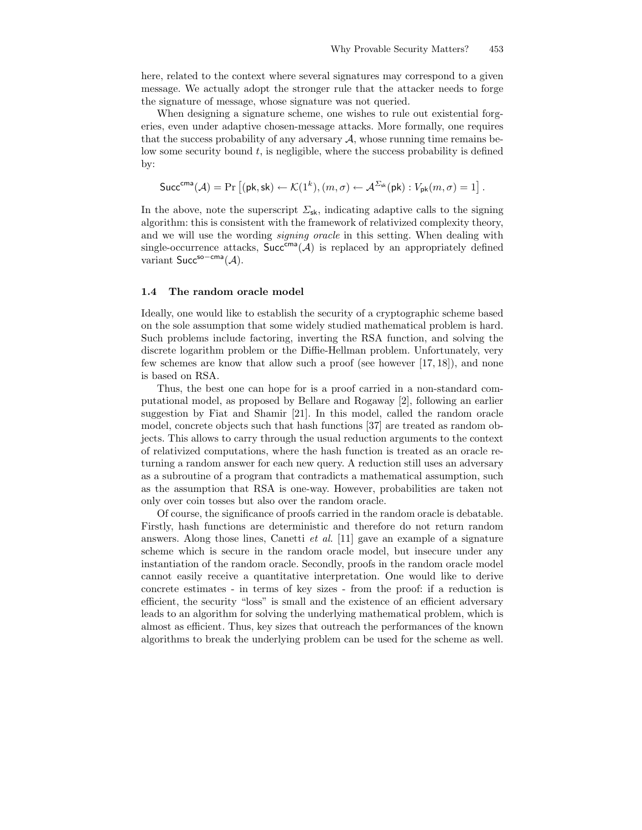here, related to the context where several signatures may correspond to a given message. We actually adopt the stronger rule that the attacker needs to forge the signature of message, whose signature was not queried.

When designing a signature scheme, one wishes to rule out existential forgeries, even under adaptive chosen-message attacks. More formally, one requires that the success probability of any adversary  $A$ , whose running time remains below some security bound  $t$ , is negligible, where the success probability is defined by:

$$
\mathsf{Succ}^{\mathsf{cma}}(\mathcal{A}) = \Pr\left[ (\mathsf{pk},\mathsf{sk}) \leftarrow \mathcal{K}(1^k), (m,\sigma) \leftarrow \mathcal{A}^{\Sigma_{\mathsf{sk}}}(\mathsf{pk}) : V_{\mathsf{pk}}(m,\sigma) = 1 \right].
$$

In the above, note the superscript  $\Sigma_{\rm sk}$ , indicating adaptive calls to the signing algorithm: this is consistent with the framework of relativized complexity theory, and we will use the wording *signing oracle* in this setting. When dealing with single-occurrence attacks,  $Succ^{cma}(\mathcal{A})$  is replaced by an appropriately defined variant Succ<sup>so-cma</sup> $(A)$ .

### 1.4 The random oracle model

Ideally, one would like to establish the security of a cryptographic scheme based on the sole assumption that some widely studied mathematical problem is hard. Such problems include factoring, inverting the RSA function, and solving the discrete logarithm problem or the Diffie-Hellman problem. Unfortunately, very few schemes are know that allow such a proof (see however [17, 18]), and none is based on RSA.

Thus, the best one can hope for is a proof carried in a non-standard computational model, as proposed by Bellare and Rogaway [2], following an earlier suggestion by Fiat and Shamir [21]. In this model, called the random oracle model, concrete objects such that hash functions [37] are treated as random objects. This allows to carry through the usual reduction arguments to the context of relativized computations, where the hash function is treated as an oracle returning a random answer for each new query. A reduction still uses an adversary as a subroutine of a program that contradicts a mathematical assumption, such as the assumption that RSA is one-way. However, probabilities are taken not only over coin tosses but also over the random oracle.

Of course, the significance of proofs carried in the random oracle is debatable. Firstly, hash functions are deterministic and therefore do not return random answers. Along those lines, Canetti *et al.* [11] gave an example of a signature scheme which is secure in the random oracle model, but insecure under any instantiation of the random oracle. Secondly, proofs in the random oracle model cannot easily receive a quantitative interpretation. One would like to derive concrete estimates - in terms of key sizes - from the proof: if a reduction is efficient, the security "loss" is small and the existence of an efficient adversary leads to an algorithm for solving the underlying mathematical problem, which is almost as efficient. Thus, key sizes that outreach the performances of the known algorithms to break the underlying problem can be used for the scheme as well.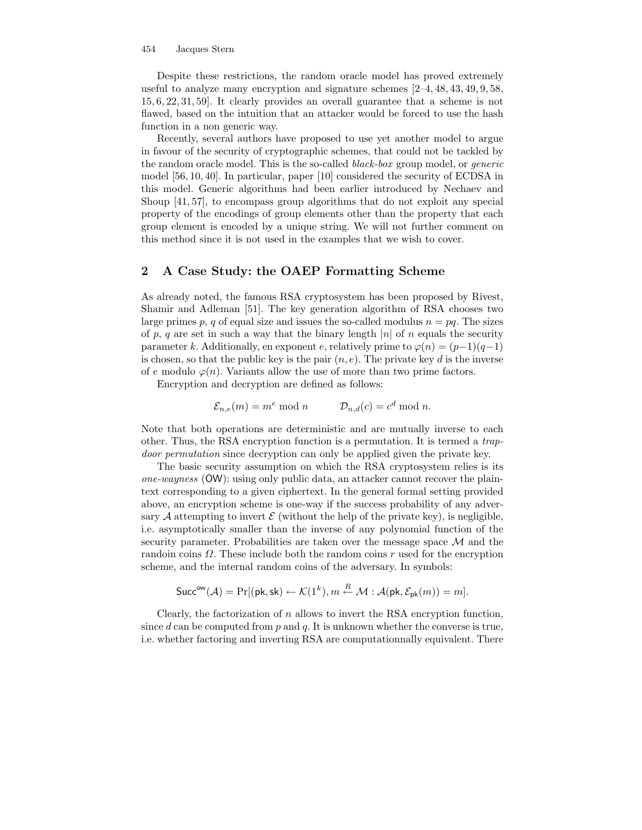#### 454 Jacques Stern

Despite these restrictions, the random oracle model has proved extremely useful to analyze many encryption and signature schemes [2–4, 48, 43, 49, 9, 58, 15, 6, 22, 31, 59]. It clearly provides an overall guarantee that a scheme is not flawed, based on the intuition that an attacker would be forced to use the hash function in a non generic way.

Recently, several authors have proposed to use yet another model to argue in favour of the security of cryptographic schemes, that could not be tackled by the random oracle model. This is the so-called *black-box* group model, or *qeneric* model [56, 10, 40]. In particular, paper [10] considered the security of ECDSA in this model. Generic algorithms had been earlier introduced by Nechaev and Shoup [41, 57], to encompass group algorithms that do not exploit any special property of the encodings of group elements other than the property that each group element is encoded by a unique string. We will not further comment on this method since it is not used in the examples that we wish to cover.

## 2 A Case Study: the OAEP Formatting Scheme

As already noted, the famous RSA cryptosystem has been proposed by Rivest, Shamir and Adleman [51]. The key generation algorithm of RSA chooses two large primes p, q of equal size and issues the so-called modulus  $n = pq$ . The sizes of p, q are set in such a way that the binary length |n| of n equals the security parameter k. Additionally, en exponent e, relatively prime to  $\varphi(n) = (p-1)(q-1)$ is chosen, so that the public key is the pair  $(n, e)$ . The private key d is the inverse of e modulo  $\varphi(n)$ . Variants allow the use of more than two prime factors.

Encryption and decryption are defined as follows:

$$
\mathcal{E}_{n,e}(m) = m^e \bmod n \qquad \mathcal{D}_{n,d}(c) = c^d \bmod n.
$$

Note that both operations are deterministic and are mutually inverse to each other. Thus, the RSA encryption function is a permutation. It is termed a trapdoor permutation since decryption can only be applied given the private key.

The basic security assumption on which the RSA cryptosystem relies is its one-wayness (OW): using only public data, an attacker cannot recover the plaintext corresponding to a given ciphertext. In the general formal setting provided above, an encryption scheme is one-way if the success probability of any adversary A attempting to invert  $\mathcal E$  (without the help of the private key), is negligible, i.e. asymptotically smaller than the inverse of any polynomial function of the security parameter. Probabilities are taken over the message space  $\mathcal M$  and the randoin coins  $\Omega$ . These include both the random coins r used for the encryption scheme, and the internal random coins of the adversary. In symbols:

$$
\mathsf{Succ}^{\mathsf{ow}}(\mathcal{A}) = \Pr[(\mathsf{pk},\mathsf{sk}) \leftarrow \mathcal{K}(1^k), m \stackrel{R}{\leftarrow} \mathcal{M} : \mathcal{A}(\mathsf{pk}, \mathcal{E}_{\mathsf{pk}}(m)) = m].
$$

Clearly, the factorization of  $n$  allows to invert the RSA encryption function, since d can be computed from  $p$  and  $q$ . It is unknown whether the converse is true, i.e. whether factoring and inverting RSA are computationnally equivalent. There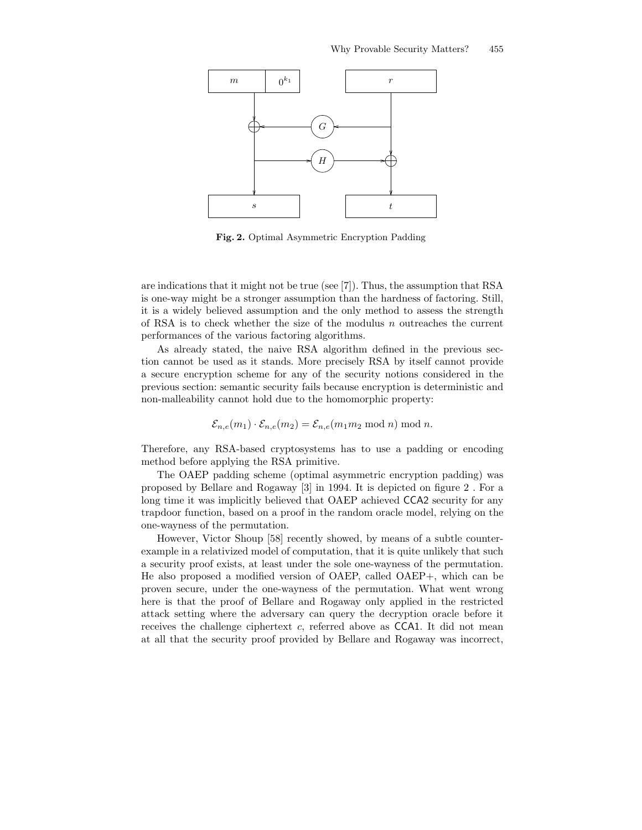

Fig. 2. Optimal Asymmetric Encryption Padding

are indications that it might not be true (see [7]). Thus, the assumption that RSA is one-way might be a stronger assumption than the hardness of factoring. Still, it is a widely believed assumption and the only method to assess the strength of RSA is to check whether the size of the modulus  $n$  outreaches the current performances of the various factoring algorithms.

As already stated, the naive RSA algorithm defined in the previous section cannot be used as it stands. More precisely RSA by itself cannot provide a secure encryption scheme for any of the security notions considered in the previous section: semantic security fails because encryption is deterministic and non-malleability cannot hold due to the homomorphic property:

$$
\mathcal{E}_{n,e}(m_1) \cdot \mathcal{E}_{n,e}(m_2) = \mathcal{E}_{n,e}(m_1 m_2 \bmod n) \bmod n.
$$

Therefore, any RSA-based cryptosystems has to use a padding or encoding method before applying the RSA primitive.

The OAEP padding scheme (optimal asymmetric encryption padding) was proposed by Bellare and Rogaway [3] in 1994. It is depicted on figure 2 . For a long time it was implicitly believed that OAEP achieved CCA2 security for any trapdoor function, based on a proof in the random oracle model, relying on the one-wayness of the permutation.

However, Victor Shoup [58] recently showed, by means of a subtle counterexample in a relativized model of computation, that it is quite unlikely that such a security proof exists, at least under the sole one-wayness of the permutation. He also proposed a modified version of OAEP, called OAEP+, which can be proven secure, under the one-wayness of the permutation. What went wrong here is that the proof of Bellare and Rogaway only applied in the restricted attack setting where the adversary can query the decryption oracle before it receives the challenge ciphertext  $c$ , referred above as CCA1. It did not mean at all that the security proof provided by Bellare and Rogaway was incorrect,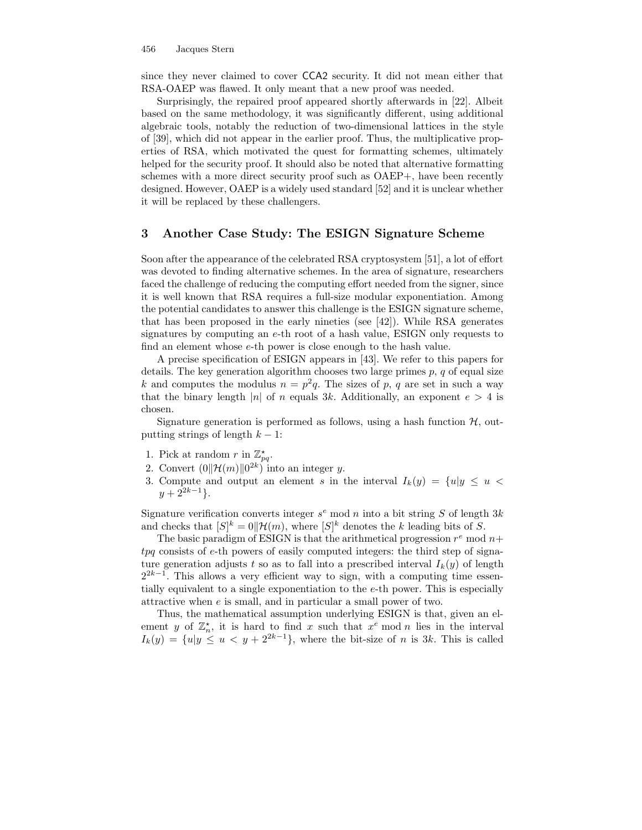since they never claimed to cover CCA2 security. It did not mean either that RSA-OAEP was flawed. It only meant that a new proof was needed.

Surprisingly, the repaired proof appeared shortly afterwards in [22]. Albeit based on the same methodology, it was significantly different, using additional algebraic tools, notably the reduction of two-dimensional lattices in the style of [39], which did not appear in the earlier proof. Thus, the multiplicative properties of RSA, which motivated the quest for formatting schemes, ultimately helped for the security proof. It should also be noted that alternative formatting schemes with a more direct security proof such as OAEP+, have been recently designed. However, OAEP is a widely used standard [52] and it is unclear whether it will be replaced by these challengers.

## 3 Another Case Study: The ESIGN Signature Scheme

Soon after the appearance of the celebrated RSA cryptosystem [51], a lot of effort was devoted to finding alternative schemes. In the area of signature, researchers faced the challenge of reducing the computing effort needed from the signer, since it is well known that RSA requires a full-size modular exponentiation. Among the potential candidates to answer this challenge is the ESIGN signature scheme, that has been proposed in the early nineties (see [42]). While RSA generates signatures by computing an e-th root of a hash value, ESIGN only requests to find an element whose e-th power is close enough to the hash value.

A precise specification of ESIGN appears in [43]. We refer to this papers for details. The key generation algorithm chooses two large primes  $p, q$  of equal size k and computes the modulus  $n = p^2q$ . The sizes of p, q are set in such a way that the binary length |n| of n equals 3k. Additionally, an exponent  $e > 4$  is chosen.

Signature generation is performed as follows, using a hash function  $H$ , outputting strings of length  $k - 1$ :

- 1. Pick at random r in  $\mathbb{Z}_{pq}^{\star}$ .
- 2. Convert  $(0||\mathcal{H}(m)||0^{2k})$  into an integer y.
- 3. Compute and output an element s in the interval  $I_k(y) = \{u | y \leq u$  $y + 2^{2k-1}$ .

Signature verification converts integer  $s^e$  mod n into a bit string S of length 3k and checks that  $[S]^k = 0 || \mathcal{H}(m)$ , where  $[S]^k$  denotes the k leading bits of S.

The basic paradigm of ESIGN is that the arithmetical progression  $r^e$  mod  $n+$ tpq consists of e-th powers of easily computed integers: the third step of signature generation adjusts t so as to fall into a prescribed interval  $I_k(y)$  of length  $2^{2k-1}$ . This allows a very efficient way to sign, with a computing time essentially equivalent to a single exponentiation to the e-th power. This is especially attractive when e is small, and in particular a small power of two.

Thus, the mathematical assumption underlying ESIGN is that, given an element y of  $\mathbb{Z}_n^*$ , it is hard to find x such that  $x^e$  mod n lies in the interval  $I_k(y) = \{u|y \leq u < y + 2^{2k-1}\},\$  where the bit-size of n is 3k. This is called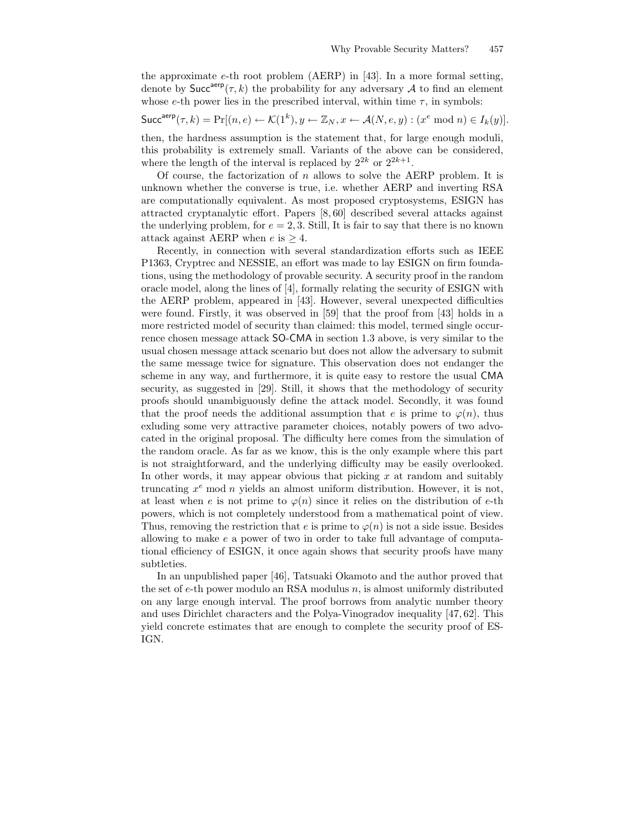the approximate  $e$ -th root problem (AERP) in [43]. In a more formal setting, denote by Succ<sup>aerp</sup>( $\tau$ , k) the probability for any adversary A to find an element whose e-th power lies in the prescribed interval, within time  $\tau$ , in symbols:

$$
\mathsf{Succ}^{\textsf{aerp}}(\tau, k) = \Pr[(n, e) \leftarrow \mathcal{K}(1^k), y \leftarrow \mathbb{Z}_N, x \leftarrow \mathcal{A}(N, e, y) : (x^e \bmod n) \in I_k(y)].
$$

then, the hardness assumption is the statement that, for large enough moduli, this probability is extremely small. Variants of the above can be considered, where the length of the interval is replaced by  $2^{2k}$  or  $2^{2k+1}$ .

Of course, the factorization of  $n$  allows to solve the AERP problem. It is unknown whether the converse is true, i.e. whether AERP and inverting RSA are computationally equivalent. As most proposed cryptosystems, ESIGN has attracted cryptanalytic effort. Papers [8, 60] described several attacks against the underlying problem, for  $e = 2, 3$ . Still, It is fair to say that there is no known attack against AERP when  $e$  is  $> 4$ .

Recently, in connection with several standardization efforts such as IEEE P1363, Cryptrec and NESSIE, an effort was made to lay ESIGN on firm foundations, using the methodology of provable security. A security proof in the random oracle model, along the lines of [4], formally relating the security of ESIGN with the AERP problem, appeared in [43]. However, several unexpected difficulties were found. Firstly, it was observed in [59] that the proof from [43] holds in a more restricted model of security than claimed: this model, termed single occurrence chosen message attack SO-CMA in section 1.3 above, is very similar to the usual chosen message attack scenario but does not allow the adversary to submit the same message twice for signature. This observation does not endanger the scheme in any way, and furthermore, it is quite easy to restore the usual CMA security, as suggested in [29]. Still, it shows that the methodology of security proofs should unambiguously define the attack model. Secondly, it was found that the proof needs the additional assumption that e is prime to  $\varphi(n)$ , thus exluding some very attractive parameter choices, notably powers of two advocated in the original proposal. The difficulty here comes from the simulation of the random oracle. As far as we know, this is the only example where this part is not straightforward, and the underlying difficulty may be easily overlooked. In other words, it may appear obvious that picking  $x$  at random and suitably truncating  $x^e$  mod n yields an almost uniform distribution. However, it is not, at least when e is not prime to  $\varphi(n)$  since it relies on the distribution of e-th powers, which is not completely understood from a mathematical point of view. Thus, removing the restriction that e is prime to  $\varphi(n)$  is not a side issue. Besides allowing to make e a power of two in order to take full advantage of computational efficiency of ESIGN, it once again shows that security proofs have many subtleties.

In an unpublished paper [46], Tatsuaki Okamoto and the author proved that the set of e-th power modulo an RSA modulus  $n$ , is almost uniformly distributed on any large enough interval. The proof borrows from analytic number theory and uses Dirichlet characters and the Polya-Vinogradov inequality [47, 62]. This yield concrete estimates that are enough to complete the security proof of ES-IGN.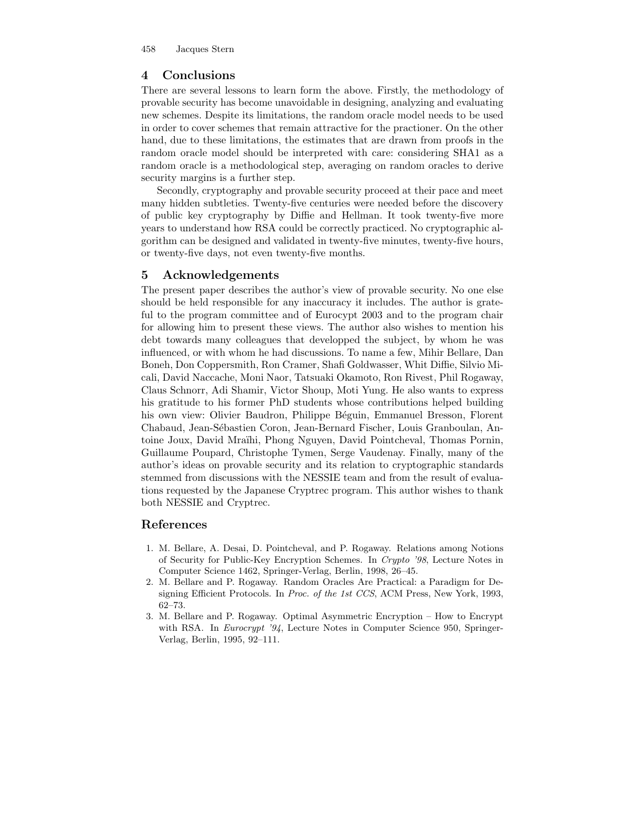458 Jacques Stern

## 4 Conclusions

There are several lessons to learn form the above. Firstly, the methodology of provable security has become unavoidable in designing, analyzing and evaluating new schemes. Despite its limitations, the random oracle model needs to be used in order to cover schemes that remain attractive for the practioner. On the other hand, due to these limitations, the estimates that are drawn from proofs in the random oracle model should be interpreted with care: considering SHA1 as a random oracle is a methodological step, averaging on random oracles to derive security margins is a further step.

Secondly, cryptography and provable security proceed at their pace and meet many hidden subtleties. Twenty-five centuries were needed before the discovery of public key cryptography by Diffie and Hellman. It took twenty-five more years to understand how RSA could be correctly practiced. No cryptographic algorithm can be designed and validated in twenty-five minutes, twenty-five hours, or twenty-five days, not even twenty-five months.

## 5 Acknowledgements

The present paper describes the author's view of provable security. No one else should be held responsible for any inaccuracy it includes. The author is grateful to the program committee and of Eurocypt 2003 and to the program chair for allowing him to present these views. The author also wishes to mention his debt towards many colleagues that developped the subject, by whom he was influenced, or with whom he had discussions. To name a few, Mihir Bellare, Dan Boneh, Don Coppersmith, Ron Cramer, Shafi Goldwasser, Whit Diffie, Silvio Micali, David Naccache, Moni Naor, Tatsuaki Okamoto, Ron Rivest, Phil Rogaway, Claus Schnorr, Adi Shamir, Victor Shoup, Moti Yung. He also wants to express his gratitude to his former PhD students whose contributions helped building his own view: Olivier Baudron, Philippe Béguin, Emmanuel Bresson, Florent Chabaud, Jean-Sébastien Coron, Jean-Bernard Fischer, Louis Granboulan, Antoine Joux, David Mraïhi, Phong Nguyen, David Pointcheval, Thomas Pornin, Guillaume Poupard, Christophe Tymen, Serge Vaudenay. Finally, many of the author's ideas on provable security and its relation to cryptographic standards stemmed from discussions with the NESSIE team and from the result of evaluations requested by the Japanese Cryptrec program. This author wishes to thank both NESSIE and Cryptrec.

## References

- 1. M. Bellare, A. Desai, D. Pointcheval, and P. Rogaway. Relations among Notions of Security for Public-Key Encryption Schemes. In Crypto '98, Lecture Notes in Computer Science 1462, Springer-Verlag, Berlin, 1998, 26–45.
- 2. M. Bellare and P. Rogaway. Random Oracles Are Practical: a Paradigm for Designing Efficient Protocols. In Proc. of the 1st CCS, ACM Press, New York, 1993, 62–73.
- 3. M. Bellare and P. Rogaway. Optimal Asymmetric Encryption How to Encrypt with RSA. In *Eurocrypt '94*, Lecture Notes in Computer Science 950, Springer-Verlag, Berlin, 1995, 92–111.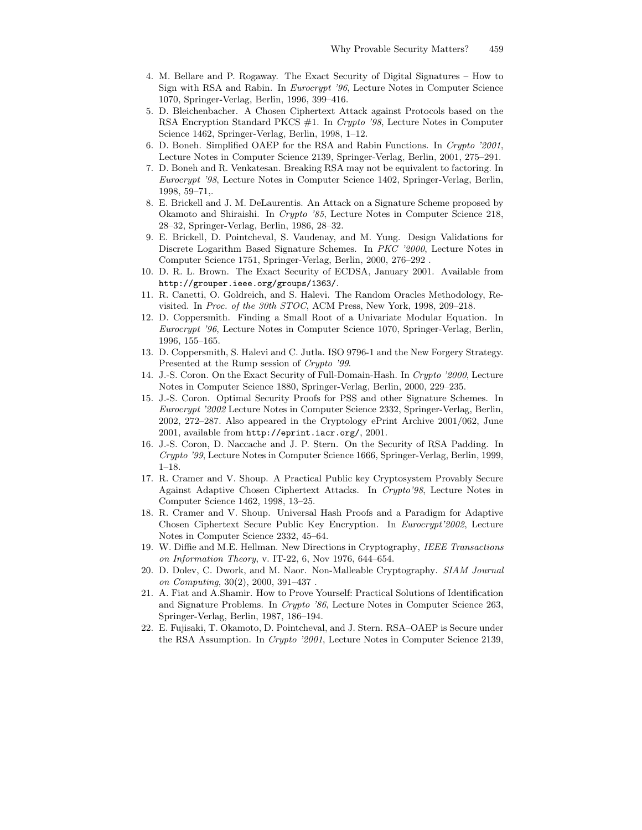- 4. M. Bellare and P. Rogaway. The Exact Security of Digital Signatures How to Sign with RSA and Rabin. In Eurocrypt '96, Lecture Notes in Computer Science 1070, Springer-Verlag, Berlin, 1996, 399–416.
- 5. D. Bleichenbacher. A Chosen Ciphertext Attack against Protocols based on the RSA Encryption Standard PKCS #1. In Crypto '98, Lecture Notes in Computer Science 1462, Springer-Verlag, Berlin, 1998, 1–12.
- 6. D. Boneh. Simplified OAEP for the RSA and Rabin Functions. In Crypto '2001, Lecture Notes in Computer Science 2139, Springer-Verlag, Berlin, 2001, 275–291.
- 7. D. Boneh and R. Venkatesan. Breaking RSA may not be equivalent to factoring. In Eurocrypt '98, Lecture Notes in Computer Science 1402, Springer-Verlag, Berlin, 1998, 59–71,.
- 8. E. Brickell and J. M. DeLaurentis. An Attack on a Signature Scheme proposed by Okamoto and Shiraishi. In Crypto '85, Lecture Notes in Computer Science 218, 28–32, Springer-Verlag, Berlin, 1986, 28–32.
- 9. E. Brickell, D. Pointcheval, S. Vaudenay, and M. Yung. Design Validations for Discrete Logarithm Based Signature Schemes. In PKC '2000, Lecture Notes in Computer Science 1751, Springer-Verlag, Berlin, 2000, 276–292 .
- 10. D. R. L. Brown. The Exact Security of ECDSA, January 2001. Available from http://grouper.ieee.org/groups/1363/.
- 11. R. Canetti, O. Goldreich, and S. Halevi. The Random Oracles Methodology, Revisited. In Proc. of the 30th STOC, ACM Press, New York, 1998, 209–218.
- 12. D. Coppersmith. Finding a Small Root of a Univariate Modular Equation. In Eurocrypt '96, Lecture Notes in Computer Science 1070, Springer-Verlag, Berlin, 1996, 155–165.
- 13. D. Coppersmith, S. Halevi and C. Jutla. ISO 9796-1 and the New Forgery Strategy. Presented at the Rump session of Crypto '99.
- 14. J.-S. Coron. On the Exact Security of Full-Domain-Hash. In Crypto '2000, Lecture Notes in Computer Science 1880, Springer-Verlag, Berlin, 2000, 229–235.
- 15. J.-S. Coron. Optimal Security Proofs for PSS and other Signature Schemes. In Eurocrypt '2002 Lecture Notes in Computer Science 2332, Springer-Verlag, Berlin, 2002, 272–287. Also appeared in the Cryptology ePrint Archive 2001/062, June 2001, available from http://eprint.iacr.org/, 2001.
- 16. J.-S. Coron, D. Naccache and J. P. Stern. On the Security of RSA Padding. In Crypto '99, Lecture Notes in Computer Science 1666, Springer-Verlag, Berlin, 1999, 1–18.
- 17. R. Cramer and V. Shoup. A Practical Public key Cryptosystem Provably Secure Against Adaptive Chosen Ciphertext Attacks. In Crypto'98, Lecture Notes in Computer Science 1462, 1998, 13–25.
- 18. R. Cramer and V. Shoup. Universal Hash Proofs and a Paradigm for Adaptive Chosen Ciphertext Secure Public Key Encryption. In Eurocrypt'2002, Lecture Notes in Computer Science 2332, 45–64.
- 19. W. Diffie and M.E. Hellman. New Directions in Cryptography, IEEE Transactions on Information Theory, v. IT-22, 6, Nov 1976, 644–654.
- 20. D. Dolev, C. Dwork, and M. Naor. Non-Malleable Cryptography. SIAM Journal on Computing, 30(2), 2000, 391–437 .
- 21. A. Fiat and A.Shamir. How to Prove Yourself: Practical Solutions of Identification and Signature Problems. In Crypto '86, Lecture Notes in Computer Science 263, Springer-Verlag, Berlin, 1987, 186–194.
- 22. E. Fujisaki, T. Okamoto, D. Pointcheval, and J. Stern. RSA–OAEP is Secure under the RSA Assumption. In Crypto '2001, Lecture Notes in Computer Science 2139,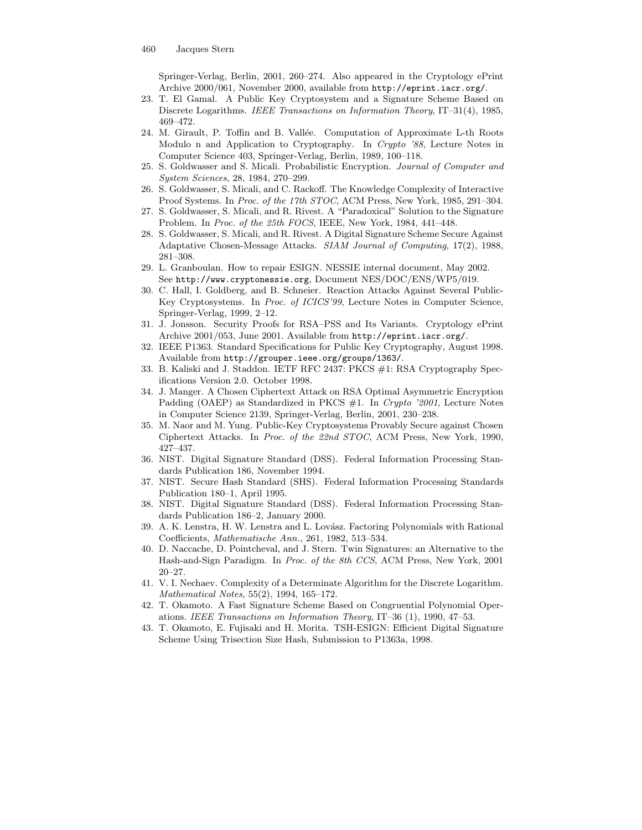Springer-Verlag, Berlin, 2001, 260–274. Also appeared in the Cryptology ePrint Archive 2000/061, November 2000, available from http://eprint.iacr.org/.

- 23. T. El Gamal. A Public Key Cryptosystem and a Signature Scheme Based on Discrete Logarithms. IEEE Transactions on Information Theory, IT–31(4), 1985, 469–472.
- 24. M. Girault, P. Toffin and B. Vallée. Computation of Approximate L-th Roots Modulo n and Application to Cryptography. In Crypto '88, Lecture Notes in Computer Science 403, Springer-Verlag, Berlin, 1989, 100–118.
- 25. S. Goldwasser and S. Micali. Probabilistic Encryption. Journal of Computer and System Sciences, 28, 1984, 270–299.
- 26. S. Goldwasser, S. Micali, and C. Rackoff. The Knowledge Complexity of Interactive Proof Systems. In Proc. of the 17th STOC, ACM Press, New York, 1985, 291–304.
- 27. S. Goldwasser, S. Micali, and R. Rivest. A "Paradoxical" Solution to the Signature Problem. In Proc. of the 25th FOCS, IEEE, New York, 1984, 441–448.
- 28. S. Goldwasser, S. Micali, and R. Rivest. A Digital Signature Scheme Secure Against Adaptative Chosen-Message Attacks. SIAM Journal of Computing, 17(2), 1988, 281–308.
- 29. L. Granboulan. How to repair ESIGN. NESSIE internal document, May 2002. See http://www.cryptonessie.org, Document NES/DOC/ENS/WP5/019.
- 30. C. Hall, I. Goldberg, and B. Schneier. Reaction Attacks Against Several Public-Key Cryptosystems. In Proc. of ICICS'99, Lecture Notes in Computer Science, Springer-Verlag, 1999, 2–12.
- 31. J. Jonsson. Security Proofs for RSA–PSS and Its Variants. Cryptology ePrint Archive 2001/053, June 2001. Available from http://eprint.iacr.org/.
- 32. IEEE P1363. Standard Specifications for Public Key Cryptography, August 1998. Available from http://grouper.ieee.org/groups/1363/.
- 33. B. Kaliski and J. Staddon. IETF RFC 2437: PKCS #1: RSA Cryptography Specifications Version 2.0. October 1998.
- 34. J. Manger. A Chosen Ciphertext Attack on RSA Optimal Asymmetric Encryption Padding (OAEP) as Standardized in PKCS #1. In Crypto '2001, Lecture Notes in Computer Science 2139, Springer-Verlag, Berlin, 2001, 230–238.
- 35. M. Naor and M. Yung. Public-Key Cryptosystems Provably Secure against Chosen Ciphertext Attacks. In Proc. of the 22nd STOC, ACM Press, New York, 1990, 427–437.
- 36. NIST. Digital Signature Standard (DSS). Federal Information Processing Standards Publication 186, November 1994.
- 37. NIST. Secure Hash Standard (SHS). Federal Information Processing Standards Publication 180–1, April 1995.
- 38. NIST. Digital Signature Standard (DSS). Federal Information Processing Standards Publication 186–2, January 2000.
- 39. A. K. Lenstra, H. W. Lenstra and L. Lovász. Factoring Polynomials with Rational Coefficients, Mathematische Ann., 261, 1982, 513–534.
- 40. D. Naccache, D. Pointcheval, and J. Stern. Twin Signatures: an Alternative to the Hash-and-Sign Paradigm. In Proc. of the 8th CCS, ACM Press, New York, 2001 20–27.
- 41. V. I. Nechaev. Complexity of a Determinate Algorithm for the Discrete Logarithm. Mathematical Notes, 55(2), 1994, 165–172.
- 42. T. Okamoto. A Fast Signature Scheme Based on Congruential Polynomial Operations. IEEE Transactions on Information Theory, IT–36 (1), 1990, 47–53.
- 43. T. Okamoto, E. Fujisaki and H. Morita. TSH-ESIGN: Efficient Digital Signature Scheme Using Trisection Size Hash, Submission to P1363a, 1998.